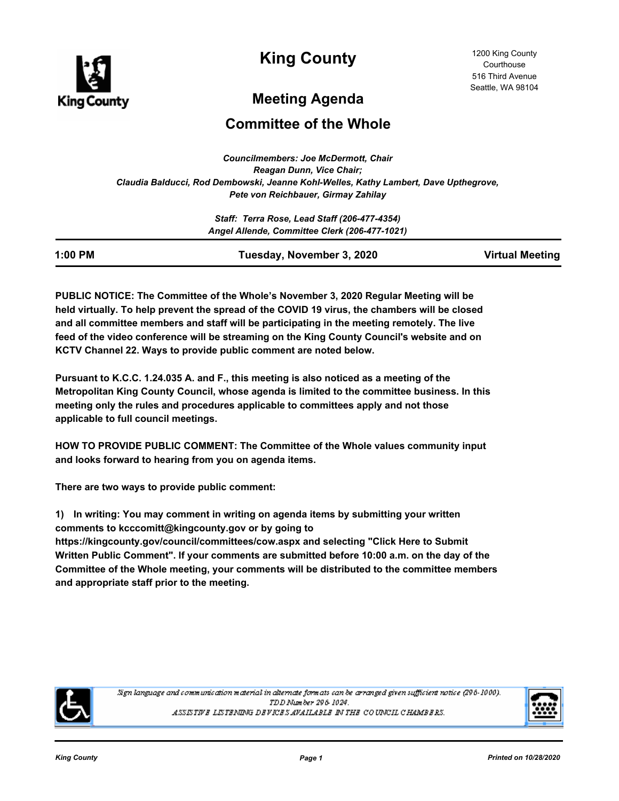

**King County**

# **Meeting Agenda**

# **Committee of the Whole**

*Councilmembers: Joe McDermott, Chair Reagan Dunn, Vice Chair; Claudia Balducci, Rod Dembowski, Jeanne Kohl-Welles, Kathy Lambert, Dave Upthegrove, Pete von Reichbauer, Girmay Zahilay*

|           | Staff: Terra Rose, Lead Staff (206-477-4354)  |                        |
|-----------|-----------------------------------------------|------------------------|
|           | Angel Allende, Committee Clerk (206-477-1021) |                        |
| $1:00$ PM | Tuesday, November 3, 2020                     | <b>Virtual Meeting</b> |

**PUBLIC NOTICE: The Committee of the Whole's November 3, 2020 Regular Meeting will be held virtually. To help prevent the spread of the COVID 19 virus, the chambers will be closed and all committee members and staff will be participating in the meeting remotely. The live feed of the video conference will be streaming on the King County Council's website and on KCTV Channel 22. Ways to provide public comment are noted below.**

**Pursuant to K.C.C. 1.24.035 A. and F., this meeting is also noticed as a meeting of the Metropolitan King County Council, whose agenda is limited to the committee business. In this meeting only the rules and procedures applicable to committees apply and not those applicable to full council meetings.**

**HOW TO PROVIDE PUBLIC COMMENT: The Committee of the Whole values community input and looks forward to hearing from you on agenda items.** 

**There are two ways to provide public comment:**

**1) In writing: You may comment in writing on agenda items by submitting your written comments to kcccomitt@kingcounty.gov or by going to** 

**https://kingcounty.gov/council/committees/cow.aspx and selecting "Click Here to Submit Written Public Comment". If your comments are submitted before 10:00 a.m. on the day of the Committee of the Whole meeting, your comments will be distributed to the committee members and appropriate staff prior to the meeting.**



Sign language and communication material in alternate formats can be arranged given sufficient notice (296-1000). TDD Number 296-1024. ASSISTIVE LISTENING DEVICES AVAILABLE IN THE COUNCIL CHAMBERS.

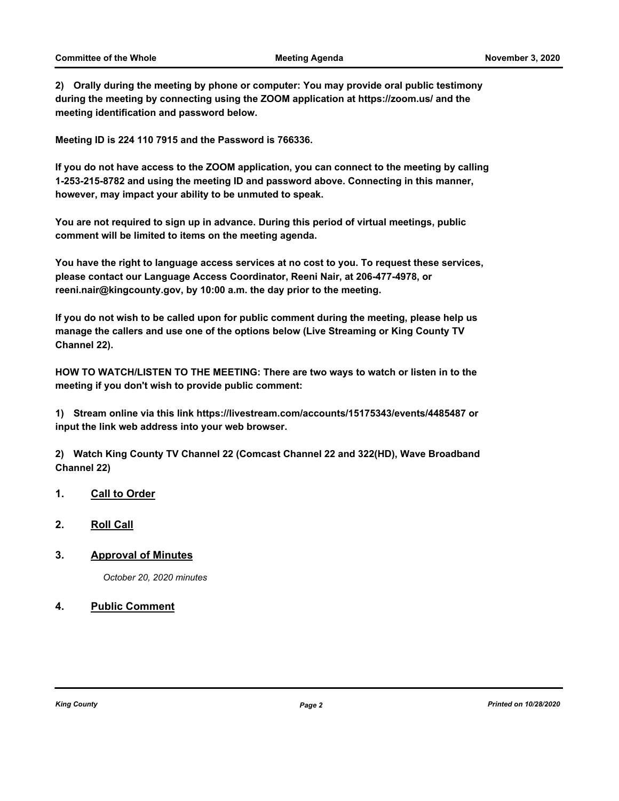**2) Orally during the meeting by phone or computer: You may provide oral public testimony during the meeting by connecting using the ZOOM application at https://zoom.us/ and the meeting identification and password below.** 

**Meeting ID is 224 110 7915 and the Password is 766336.**

**If you do not have access to the ZOOM application, you can connect to the meeting by calling 1-253-215-8782 and using the meeting ID and password above. Connecting in this manner, however, may impact your ability to be unmuted to speak.** 

**You are not required to sign up in advance. During this period of virtual meetings, public comment will be limited to items on the meeting agenda.**

**You have the right to language access services at no cost to you. To request these services, please contact our Language Access Coordinator, Reeni Nair, at 206-477-4978, or reeni.nair@kingcounty.gov, by 10:00 a.m. the day prior to the meeting.**

**If you do not wish to be called upon for public comment during the meeting, please help us manage the callers and use one of the options below (Live Streaming or King County TV Channel 22).**

**HOW TO WATCH/LISTEN TO THE MEETING: There are two ways to watch or listen in to the meeting if you don't wish to provide public comment:**

**1) Stream online via this link https://livestream.com/accounts/15175343/events/4485487 or input the link web address into your web browser.**

**2) Watch King County TV Channel 22 (Comcast Channel 22 and 322(HD), Wave Broadband Channel 22)**

- **1. Call to Order**
- **2. Roll Call**
- **3. Approval of Minutes**

*October 20, 2020 minutes*

#### **4. Public Comment**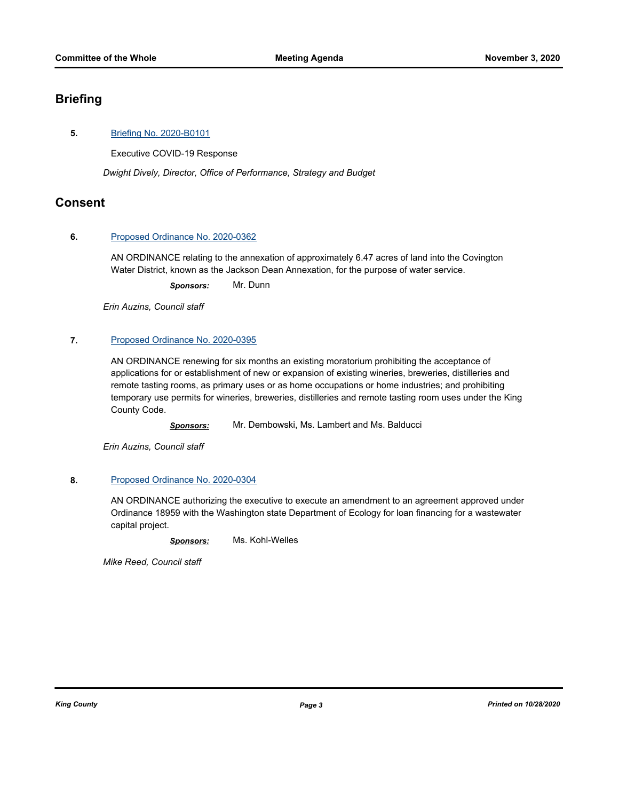# **Briefing**

#### **5.** [Briefing No. 2020-B0101](http://kingcounty.legistar.com/gateway.aspx?m=l&id=/matter.aspx?key=21664)

Executive COVID-19 Response

*Dwight Dively, Director, Office of Performance, Strategy and Budget*

### **Consent**

#### **6.** [Proposed Ordinance No. 2020-0362](http://kingcounty.legistar.com/gateway.aspx?m=l&id=/matter.aspx?key=21606)

AN ORDINANCE relating to the annexation of approximately 6.47 acres of land into the Covington Water District, known as the Jackson Dean Annexation, for the purpose of water service.

*Sponsors:* Mr. Dunn

*Erin Auzins, Council staff*

#### **7.** [Proposed Ordinance No. 2020-0395](http://kingcounty.legistar.com/gateway.aspx?m=l&id=/matter.aspx?key=21658)

AN ORDINANCE renewing for six months an existing moratorium prohibiting the acceptance of applications for or establishment of new or expansion of existing wineries, breweries, distilleries and remote tasting rooms, as primary uses or as home occupations or home industries; and prohibiting temporary use permits for wineries, breweries, distilleries and remote tasting room uses under the King County Code.

*Sponsors:* Mr. Dembowski, Ms. Lambert and Ms. Balducci

*Erin Auzins, Council staff*

#### **8.** [Proposed Ordinance No. 2020-0304](http://kingcounty.legistar.com/gateway.aspx?m=l&id=/matter.aspx?key=21514)

AN ORDINANCE authorizing the executive to execute an amendment to an agreement approved under Ordinance 18959 with the Washington state Department of Ecology for loan financing for a wastewater capital project.

*Sponsors:* Ms. Kohl-Welles

*Mike Reed, Council staff*